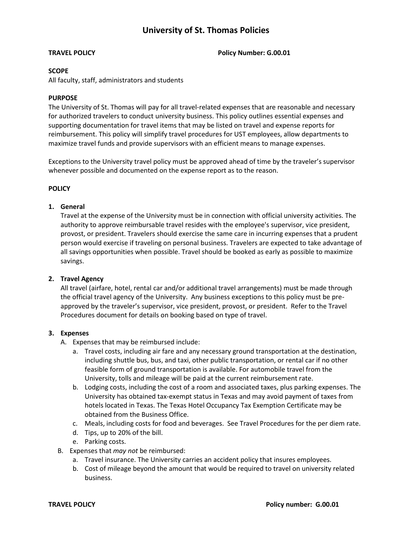# **University of St. Thomas Policies**

**TRAVEL POLICY Policy Number: G.00.01**

#### **SCOPE**

All faculty, staff, administrators and students

### **PURPOSE**

The University of St. Thomas will pay for all travel-related expenses that are reasonable and necessary for authorized travelers to conduct university business. This policy outlines essential expenses and supporting documentation for travel items that may be listed on travel and expense reports for reimbursement. This policy will simplify travel procedures for UST employees, allow departments to maximize travel funds and provide supervisors with an efficient means to manage expenses.

Exceptions to the University travel policy must be approved ahead of time by the traveler's supervisor whenever possible and documented on the expense report as to the reason.

### **POLICY**

### **1. General**

Travel at the expense of the University must be in connection with official university activities. The authority to approve reimbursable travel resides with the employee's supervisor, vice president, provost, or president. Travelers should exercise the same care in incurring expenses that a prudent person would exercise if traveling on personal business. Travelers are expected to take advantage of all savings opportunities when possible. Travel should be booked as early as possible to maximize savings.

# **2. Travel Agency**

All travel (airfare, hotel, rental car and/or additional travel arrangements) must be made through the official travel agency of the University. Any business exceptions to this policy must be preapproved by the traveler's supervisor, vice president, provost, or president. Refer to the Travel Procedures document for details on booking based on type of travel.

#### **3. Expenses**

- A. Expenses that may be reimbursed include:
	- a. Travel costs, including air fare and any necessary ground transportation at the destination, including shuttle bus, bus, and taxi, other public transportation, or rental car if no other feasible form of ground transportation is available. For automobile travel from the University, tolls and mileage will be paid at the current reimbursement rate.
	- b. Lodging costs, including the cost of a room and associated taxes, plus parking expenses. The University has obtained tax-exempt status in Texas and may avoid payment of taxes from hotels located in Texas. The Texas Hotel Occupancy Tax Exemption Certificate may be obtained from the Business Office.
	- c. Meals, including costs for food and beverages. See Travel Procedures for the per diem rate.
	- d. Tips, up to 20% of the bill.
	- e. Parking costs.
- B. Expenses that *may not* be reimbursed:
	- a. Travel insurance. The University carries an accident policy that insures employees.
	- b. Cost of mileage beyond the amount that would be required to travel on university related business.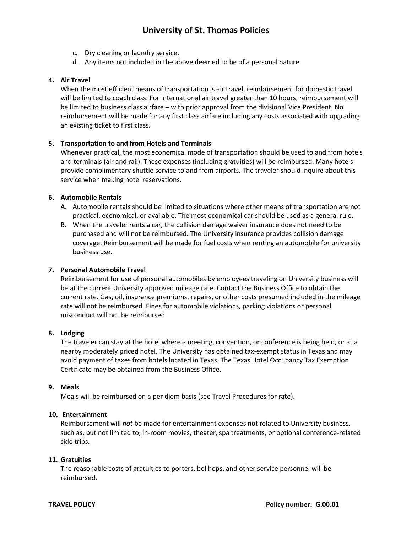# **University of St. Thomas Policies**

- c. Dry cleaning or laundry service.
- d. Any items not included in the above deemed to be of a personal nature.

#### **4. Air Travel**

When the most efficient means of transportation is air travel, reimbursement for domestic travel will be limited to coach class. For international air travel greater than 10 hours, reimbursement will be limited to business class airfare – with prior approval from the divisional Vice President. No reimbursement will be made for any first class airfare including any costs associated with upgrading an existing ticket to first class.

### **5. Transportation to and from Hotels and Terminals**

Whenever practical, the most economical mode of transportation should be used to and from hotels and terminals (air and rail). These expenses (including gratuities) will be reimbursed. Many hotels provide complimentary shuttle service to and from airports. The traveler should inquire about this service when making hotel reservations.

### **6. Automobile Rentals**

- A. Automobile rentals should be limited to situations where other means of transportation are not practical, economical, or available. The most economical car should be used as a general rule.
- B. When the traveler rents a car, the collision damage waiver insurance does not need to be purchased and will not be reimbursed. The University insurance provides collision damage coverage. Reimbursement will be made for fuel costs when renting an automobile for university business use.

#### **7. Personal Automobile Travel**

Reimbursement for use of personal automobiles by employees traveling on University business will be at the current University approved mileage rate. Contact the Business Office to obtain the current rate. Gas, oil, insurance premiums, repairs, or other costs presumed included in the mileage rate will not be reimbursed. Fines for automobile violations, parking violations or personal misconduct will not be reimbursed.

#### **8. Lodging**

The traveler can stay at the hotel where a meeting, convention, or conference is being held, or at a nearby moderately priced hotel. The University has obtained tax-exempt status in Texas and may avoid payment of taxes from hotels located in Texas. The Texas Hotel Occupancy Tax Exemption Certificate may be obtained from the Business Office.

#### **9. Meals**

Meals will be reimbursed on a per diem basis (see Travel Procedures for rate).

# **10. Entertainment**

Reimbursement will *not* be made for entertainment expenses not related to University business, such as, but not limited to, in-room movies, theater, spa treatments, or optional conference-related side trips.

# **11. Gratuities**

The reasonable costs of gratuities to porters, bellhops, and other service personnel will be reimbursed.